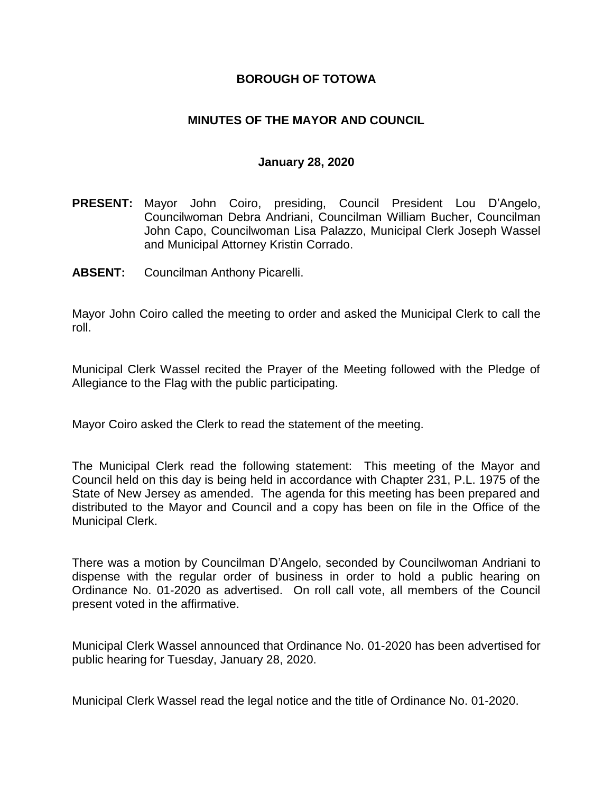### **BOROUGH OF TOTOWA**

### **MINUTES OF THE MAYOR AND COUNCIL**

#### **January 28, 2020**

- **PRESENT:** Mayor John Coiro, presiding, Council President Lou D'Angelo, Councilwoman Debra Andriani, Councilman William Bucher, Councilman John Capo, Councilwoman Lisa Palazzo, Municipal Clerk Joseph Wassel and Municipal Attorney Kristin Corrado.
- **ABSENT:** Councilman Anthony Picarelli.

Mayor John Coiro called the meeting to order and asked the Municipal Clerk to call the roll.

Municipal Clerk Wassel recited the Prayer of the Meeting followed with the Pledge of Allegiance to the Flag with the public participating.

Mayor Coiro asked the Clerk to read the statement of the meeting.

The Municipal Clerk read the following statement: This meeting of the Mayor and Council held on this day is being held in accordance with Chapter 231, P.L. 1975 of the State of New Jersey as amended. The agenda for this meeting has been prepared and distributed to the Mayor and Council and a copy has been on file in the Office of the Municipal Clerk.

There was a motion by Councilman D'Angelo, seconded by Councilwoman Andriani to dispense with the regular order of business in order to hold a public hearing on Ordinance No. 01-2020 as advertised. On roll call vote, all members of the Council present voted in the affirmative.

Municipal Clerk Wassel announced that Ordinance No. 01-2020 has been advertised for public hearing for Tuesday, January 28, 2020.

Municipal Clerk Wassel read the legal notice and the title of Ordinance No. 01-2020.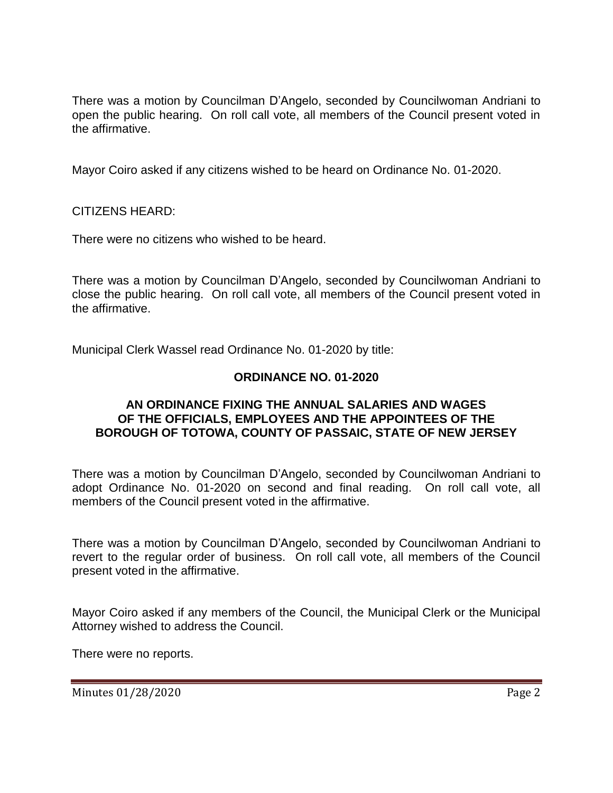There was a motion by Councilman D'Angelo, seconded by Councilwoman Andriani to open the public hearing. On roll call vote, all members of the Council present voted in the affirmative.

Mayor Coiro asked if any citizens wished to be heard on Ordinance No. 01-2020.

CITIZENS HEARD:

There were no citizens who wished to be heard.

There was a motion by Councilman D'Angelo, seconded by Councilwoman Andriani to close the public hearing. On roll call vote, all members of the Council present voted in the affirmative.

Municipal Clerk Wassel read Ordinance No. 01-2020 by title:

# **ORDINANCE NO. 01-2020**

#### **AN ORDINANCE FIXING THE ANNUAL SALARIES AND WAGES OF THE OFFICIALS, EMPLOYEES AND THE APPOINTEES OF THE BOROUGH OF TOTOWA, COUNTY OF PASSAIC, STATE OF NEW JERSEY**

There was a motion by Councilman D'Angelo, seconded by Councilwoman Andriani to adopt Ordinance No. 01-2020 on second and final reading. On roll call vote, all members of the Council present voted in the affirmative.

There was a motion by Councilman D'Angelo, seconded by Councilwoman Andriani to revert to the regular order of business. On roll call vote, all members of the Council present voted in the affirmative.

Mayor Coiro asked if any members of the Council, the Municipal Clerk or the Municipal Attorney wished to address the Council.

There were no reports.

Minutes 01/28/2020 Page 2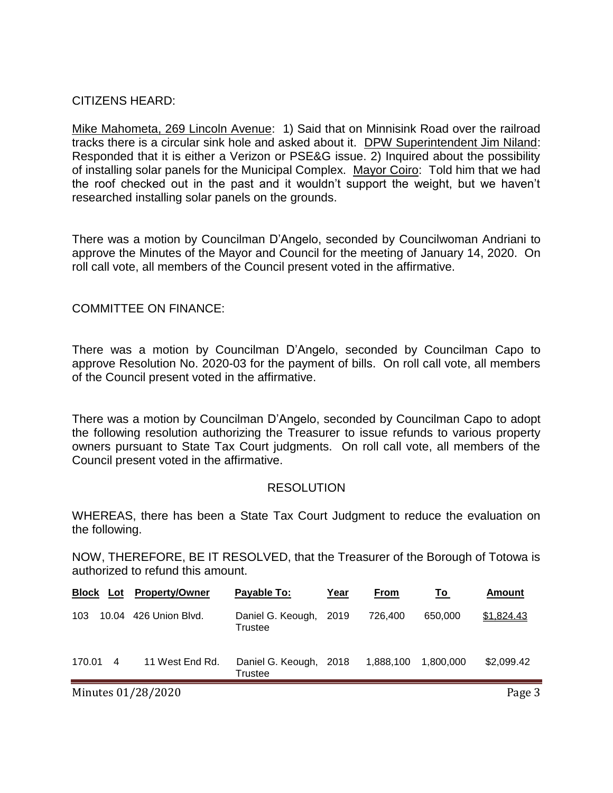### CITIZENS HEARD:

Mike Mahometa, 269 Lincoln Avenue: 1) Said that on Minnisink Road over the railroad tracks there is a circular sink hole and asked about it. DPW Superintendent Jim Niland: Responded that it is either a Verizon or PSE&G issue. 2) Inquired about the possibility of installing solar panels for the Municipal Complex. Mayor Coiro: Told him that we had the roof checked out in the past and it wouldn't support the weight, but we haven't researched installing solar panels on the grounds.

There was a motion by Councilman D'Angelo, seconded by Councilwoman Andriani to approve the Minutes of the Mayor and Council for the meeting of January 14, 2020. On roll call vote, all members of the Council present voted in the affirmative.

### COMMITTEE ON FINANCE:

There was a motion by Councilman D'Angelo, seconded by Councilman Capo to approve Resolution No. 2020-03 for the payment of bills. On roll call vote, all members of the Council present voted in the affirmative.

There was a motion by Councilman D'Angelo, seconded by Councilman Capo to adopt the following resolution authorizing the Treasurer to issue refunds to various property owners pursuant to State Tax Court judgments. On roll call vote, all members of the Council present voted in the affirmative.

### RESOLUTION

WHEREAS, there has been a State Tax Court Judgment to reduce the evaluation on the following.

NOW, THEREFORE, BE IT RESOLVED, that the Treasurer of the Borough of Totowa is authorized to refund this amount.

| <b>Block Lot</b> |                | <b>Property/Owner</b> | Payable To:                       | Year | <b>From</b> | Τo        | Amount     |
|------------------|----------------|-----------------------|-----------------------------------|------|-------------|-----------|------------|
| 103              |                | 10.04 426 Union Blvd. | Daniel G. Keough,<br>Trustee      | 2019 | 726,400     | 650,000   | \$1,824.43 |
| 170.01           | $\overline{4}$ | 11 West End Rd.       | Daniel G. Keough, 2018<br>Trustee |      | 1,888,100   | 1.800.000 | \$2,099.42 |

Minutes 01/28/2020 **Page 3**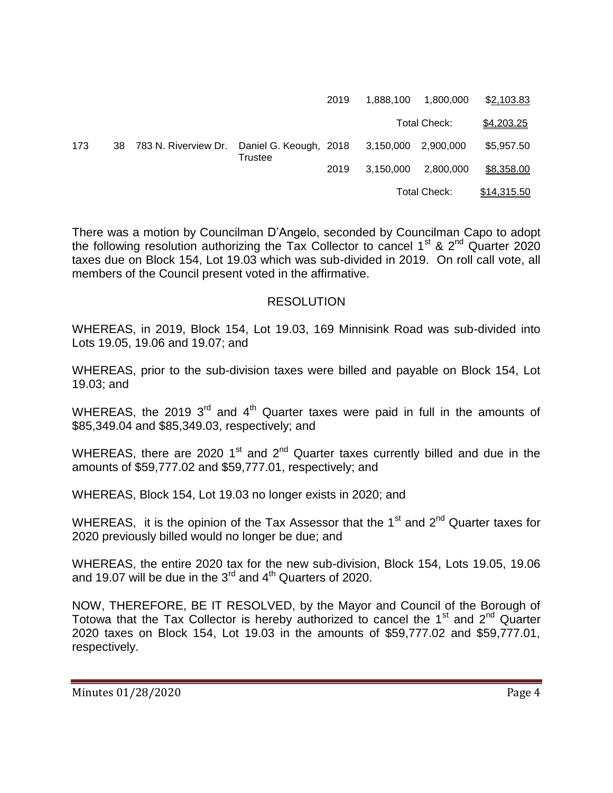|     |                         |                                          | 2019 | 1.888.100           | 1,800,000 | \$2,103.83  |
|-----|-------------------------|------------------------------------------|------|---------------------|-----------|-------------|
|     |                         |                                          |      | Total Check:        |           | \$4,203.25  |
| 173 | 38 783 N. Riverview Dr. | Daniel G. Keough, 2018<br><b>Trustee</b> |      | 3,150,000 2,900,000 |           | \$5,957.50  |
|     |                         |                                          | 2019 | 3.150.000           | 2,800,000 | \$8,358.00  |
|     |                         |                                          |      | Total Check:        |           | \$14,315.50 |

There was a motion by Councilman D'Angelo, seconded by Councilman Capo to adopt the following resolution authorizing the Tax Collector to cancel  $1^{st}$  &  $2^{nd}$  Quarter 2020 taxes due on Block 154, Lot 19.03 which was sub-divided in 2019. On roll call vote, all members of the Council present voted in the affirmative.

#### RESOLUTION

WHEREAS, in 2019, Block 154, Lot 19.03, 169 Minnisink Road was sub-divided into Lots 19.05, 19.06 and 19.07; and

WHEREAS, prior to the sub-division taxes were billed and payable on Block 154, Lot 19.03; and

WHEREAS, the 2019  $3<sup>rd</sup>$  and  $4<sup>th</sup>$  Quarter taxes were paid in full in the amounts of \$85,349.04 and \$85,349.03, respectively; and

WHEREAS, there are 2020 1<sup>st</sup> and 2<sup>nd</sup> Quarter taxes currently billed and due in the amounts of \$59,777.02 and \$59,777.01, respectively; and

WHEREAS, Block 154, Lot 19.03 no longer exists in 2020; and

WHEREAS, it is the opinion of the Tax Assessor that the  $1<sup>st</sup>$  and  $2<sup>nd</sup>$  Quarter taxes for 2020 previously billed would no longer be due; and

WHEREAS, the entire 2020 tax for the new sub-division, Block 154, Lots 19.05, 19.06 and 19.07 will be due in the  $3<sup>rd</sup>$  and  $4<sup>th</sup>$  Quarters of 2020.

NOW, THEREFORE, BE IT RESOLVED, by the Mayor and Council of the Borough of Totowa that the Tax Collector is hereby authorized to cancel the  $1<sup>st</sup>$  and  $2<sup>nd</sup>$  Quarter 2020 taxes on Block 154, Lot 19.03 in the amounts of \$59,777.02 and \$59,777.01, respectively.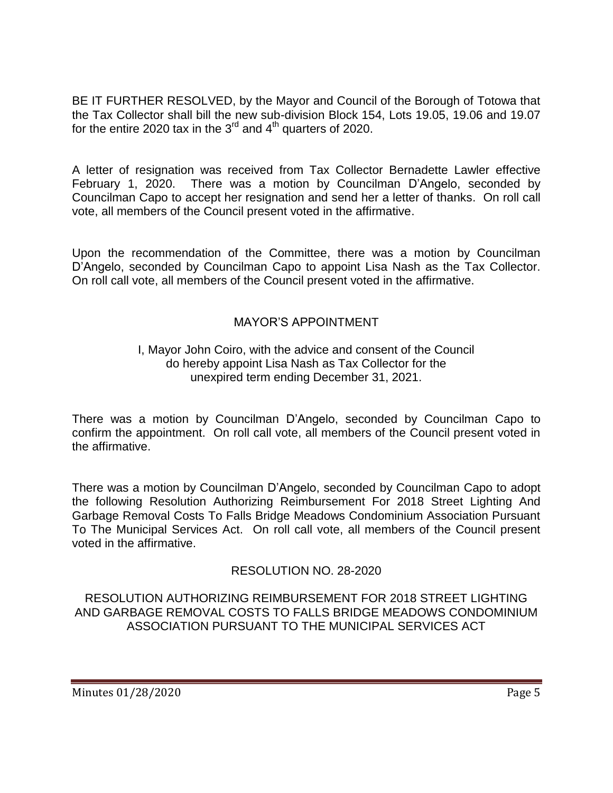BE IT FURTHER RESOLVED, by the Mayor and Council of the Borough of Totowa that the Tax Collector shall bill the new sub-division Block 154, Lots 19.05, 19.06 and 19.07 for the entire 2020 tax in the  $3^{rd}$  and  $4^{th}$  quarters of 2020.

A letter of resignation was received from Tax Collector Bernadette Lawler effective February 1, 2020. There was a motion by Councilman D'Angelo, seconded by Councilman Capo to accept her resignation and send her a letter of thanks. On roll call vote, all members of the Council present voted in the affirmative.

Upon the recommendation of the Committee, there was a motion by Councilman D'Angelo, seconded by Councilman Capo to appoint Lisa Nash as the Tax Collector. On roll call vote, all members of the Council present voted in the affirmative.

# MAYOR'S APPOINTMENT

### I, Mayor John Coiro, with the advice and consent of the Council do hereby appoint Lisa Nash as Tax Collector for the unexpired term ending December 31, 2021.

There was a motion by Councilman D'Angelo, seconded by Councilman Capo to confirm the appointment. On roll call vote, all members of the Council present voted in the affirmative.

There was a motion by Councilman D'Angelo, seconded by Councilman Capo to adopt the following Resolution Authorizing Reimbursement For 2018 Street Lighting And Garbage Removal Costs To Falls Bridge Meadows Condominium Association Pursuant To The Municipal Services Act. On roll call vote, all members of the Council present voted in the affirmative.

# RESOLUTION NO. 28-2020

RESOLUTION AUTHORIZING REIMBURSEMENT FOR 2018 STREET LIGHTING AND GARBAGE REMOVAL COSTS TO FALLS BRIDGE MEADOWS CONDOMINIUM ASSOCIATION PURSUANT TO THE MUNICIPAL SERVICES ACT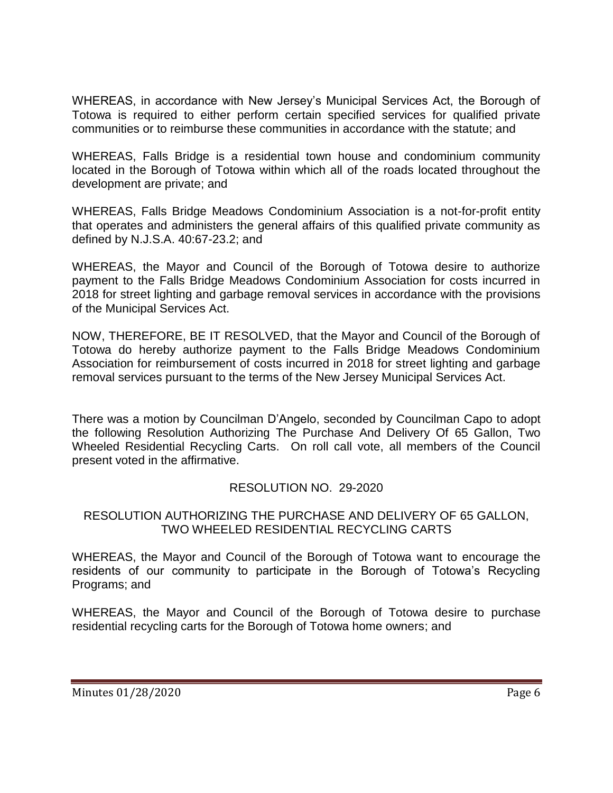WHEREAS, in accordance with New Jersey's Municipal Services Act, the Borough of Totowa is required to either perform certain specified services for qualified private communities or to reimburse these communities in accordance with the statute; and

WHEREAS, Falls Bridge is a residential town house and condominium community located in the Borough of Totowa within which all of the roads located throughout the development are private; and

WHEREAS, Falls Bridge Meadows Condominium Association is a not-for-profit entity that operates and administers the general affairs of this qualified private community as defined by N.J.S.A. 40:67-23.2; and

WHEREAS, the Mayor and Council of the Borough of Totowa desire to authorize payment to the Falls Bridge Meadows Condominium Association for costs incurred in 2018 for street lighting and garbage removal services in accordance with the provisions of the Municipal Services Act.

NOW, THEREFORE, BE IT RESOLVED, that the Mayor and Council of the Borough of Totowa do hereby authorize payment to the Falls Bridge Meadows Condominium Association for reimbursement of costs incurred in 2018 for street lighting and garbage removal services pursuant to the terms of the New Jersey Municipal Services Act.

There was a motion by Councilman D'Angelo, seconded by Councilman Capo to adopt the following Resolution Authorizing The Purchase And Delivery Of 65 Gallon, Two Wheeled Residential Recycling Carts. On roll call vote, all members of the Council present voted in the affirmative.

# RESOLUTION NO. 29-2020

### RESOLUTION AUTHORIZING THE PURCHASE AND DELIVERY OF 65 GALLON, TWO WHEELED RESIDENTIAL RECYCLING CARTS

WHEREAS, the Mayor and Council of the Borough of Totowa want to encourage the residents of our community to participate in the Borough of Totowa's Recycling Programs; and

WHEREAS, the Mayor and Council of the Borough of Totowa desire to purchase residential recycling carts for the Borough of Totowa home owners; and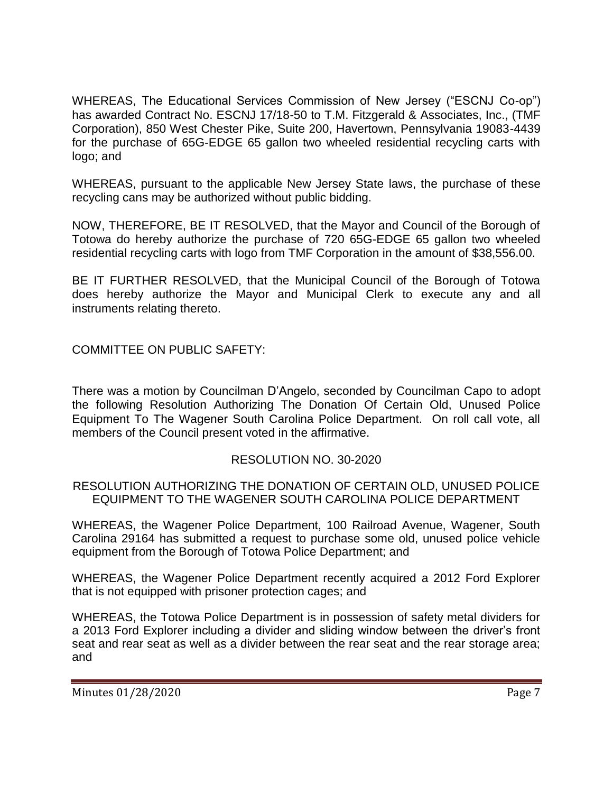WHEREAS, The Educational Services Commission of New Jersey ("ESCNJ Co-op") has awarded Contract No. ESCNJ 17/18-50 to T.M. Fitzgerald & Associates, Inc., (TMF Corporation), 850 West Chester Pike, Suite 200, Havertown, Pennsylvania 19083-4439 for the purchase of 65G-EDGE 65 gallon two wheeled residential recycling carts with logo; and

WHEREAS, pursuant to the applicable New Jersey State laws, the purchase of these recycling cans may be authorized without public bidding.

NOW, THEREFORE, BE IT RESOLVED, that the Mayor and Council of the Borough of Totowa do hereby authorize the purchase of 720 65G-EDGE 65 gallon two wheeled residential recycling carts with logo from TMF Corporation in the amount of \$38,556.00.

BE IT FURTHER RESOLVED, that the Municipal Council of the Borough of Totowa does hereby authorize the Mayor and Municipal Clerk to execute any and all instruments relating thereto.

COMMITTEE ON PUBLIC SAFETY:

There was a motion by Councilman D'Angelo, seconded by Councilman Capo to adopt the following Resolution Authorizing The Donation Of Certain Old, Unused Police Equipment To The Wagener South Carolina Police Department. On roll call vote, all members of the Council present voted in the affirmative.

# RESOLUTION NO. 30-2020

### RESOLUTION AUTHORIZING THE DONATION OF CERTAIN OLD, UNUSED POLICE EQUIPMENT TO THE WAGENER SOUTH CAROLINA POLICE DEPARTMENT

WHEREAS, the Wagener Police Department, 100 Railroad Avenue, Wagener, South Carolina 29164 has submitted a request to purchase some old, unused police vehicle equipment from the Borough of Totowa Police Department; and

WHEREAS, the Wagener Police Department recently acquired a 2012 Ford Explorer that is not equipped with prisoner protection cages; and

WHEREAS, the Totowa Police Department is in possession of safety metal dividers for a 2013 Ford Explorer including a divider and sliding window between the driver's front seat and rear seat as well as a divider between the rear seat and the rear storage area; and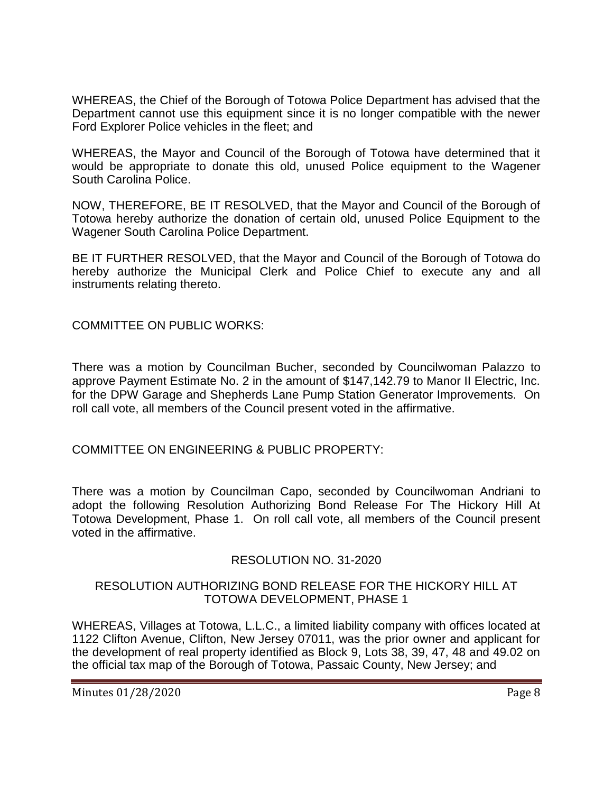WHEREAS, the Chief of the Borough of Totowa Police Department has advised that the Department cannot use this equipment since it is no longer compatible with the newer Ford Explorer Police vehicles in the fleet; and

WHEREAS, the Mayor and Council of the Borough of Totowa have determined that it would be appropriate to donate this old, unused Police equipment to the Wagener South Carolina Police.

NOW, THEREFORE, BE IT RESOLVED, that the Mayor and Council of the Borough of Totowa hereby authorize the donation of certain old, unused Police Equipment to the Wagener South Carolina Police Department.

BE IT FURTHER RESOLVED, that the Mayor and Council of the Borough of Totowa do hereby authorize the Municipal Clerk and Police Chief to execute any and all instruments relating thereto.

COMMITTEE ON PUBLIC WORKS:

There was a motion by Councilman Bucher, seconded by Councilwoman Palazzo to approve Payment Estimate No. 2 in the amount of \$147,142.79 to Manor II Electric, Inc. for the DPW Garage and Shepherds Lane Pump Station Generator Improvements. On roll call vote, all members of the Council present voted in the affirmative.

COMMITTEE ON ENGINEERING & PUBLIC PROPERTY:

There was a motion by Councilman Capo, seconded by Councilwoman Andriani to adopt the following Resolution Authorizing Bond Release For The Hickory Hill At Totowa Development, Phase 1. On roll call vote, all members of the Council present voted in the affirmative.

# RESOLUTION NO. 31-2020

### RESOLUTION AUTHORIZING BOND RELEASE FOR THE HICKORY HILL AT TOTOWA DEVELOPMENT, PHASE 1

WHEREAS, Villages at Totowa, L.L.C., a limited liability company with offices located at 1122 Clifton Avenue, Clifton, New Jersey 07011, was the prior owner and applicant for the development of real property identified as Block 9, Lots 38, 39, 47, 48 and 49.02 on the official tax map of the Borough of Totowa, Passaic County, New Jersey; and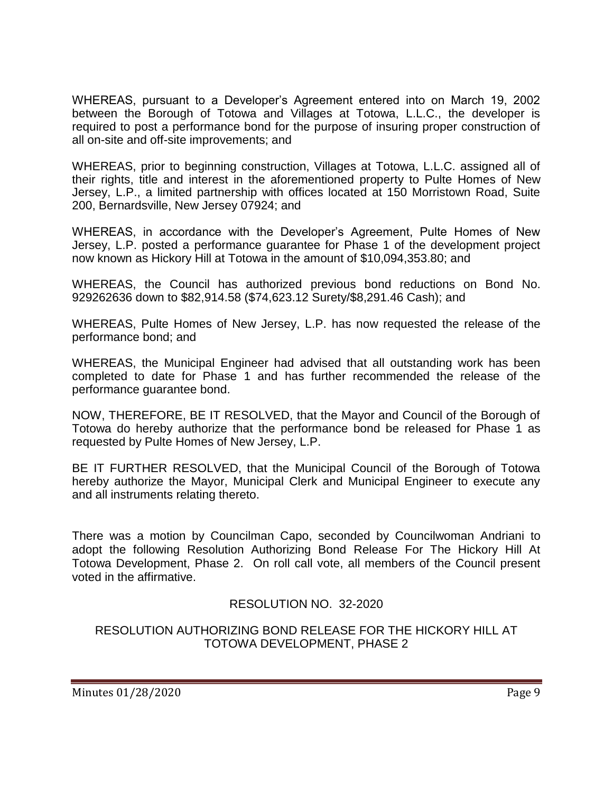WHEREAS, pursuant to a Developer's Agreement entered into on March 19, 2002 between the Borough of Totowa and Villages at Totowa, L.L.C., the developer is required to post a performance bond for the purpose of insuring proper construction of all on-site and off-site improvements; and

WHEREAS, prior to beginning construction, Villages at Totowa, L.L.C. assigned all of their rights, title and interest in the aforementioned property to Pulte Homes of New Jersey, L.P., a limited partnership with offices located at 150 Morristown Road, Suite 200, Bernardsville, New Jersey 07924; and

WHEREAS, in accordance with the Developer's Agreement, Pulte Homes of New Jersey, L.P. posted a performance guarantee for Phase 1 of the development project now known as Hickory Hill at Totowa in the amount of \$10,094,353.80; and

WHEREAS, the Council has authorized previous bond reductions on Bond No. 929262636 down to \$82,914.58 (\$74,623.12 Surety/\$8,291.46 Cash); and

WHEREAS, Pulte Homes of New Jersey, L.P. has now requested the release of the performance bond; and

WHEREAS, the Municipal Engineer had advised that all outstanding work has been completed to date for Phase 1 and has further recommended the release of the performance guarantee bond.

NOW, THEREFORE, BE IT RESOLVED, that the Mayor and Council of the Borough of Totowa do hereby authorize that the performance bond be released for Phase 1 as requested by Pulte Homes of New Jersey, L.P.

BE IT FURTHER RESOLVED, that the Municipal Council of the Borough of Totowa hereby authorize the Mayor, Municipal Clerk and Municipal Engineer to execute any and all instruments relating thereto.

There was a motion by Councilman Capo, seconded by Councilwoman Andriani to adopt the following Resolution Authorizing Bond Release For The Hickory Hill At Totowa Development, Phase 2. On roll call vote, all members of the Council present voted in the affirmative.

# RESOLUTION NO. 32-2020

### RESOLUTION AUTHORIZING BOND RELEASE FOR THE HICKORY HILL AT TOTOWA DEVELOPMENT, PHASE 2

Minutes 01/28/2020 Page 9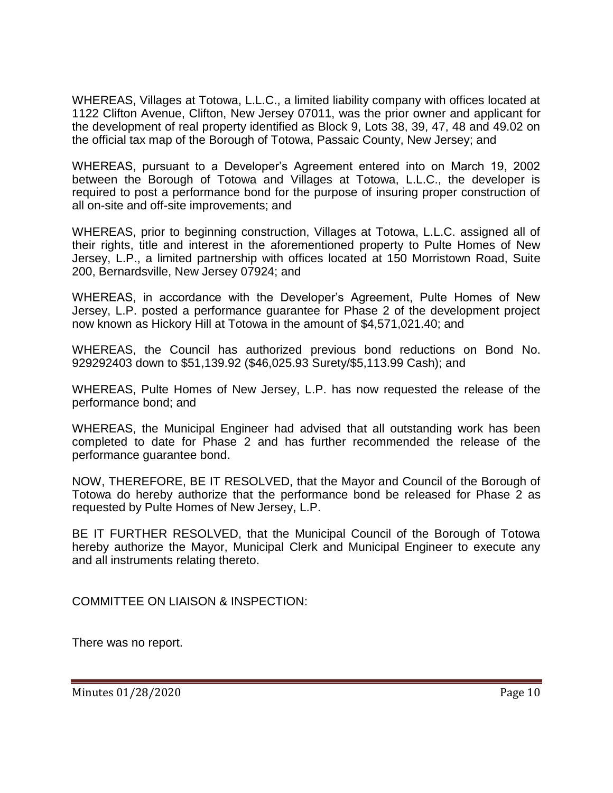WHEREAS, Villages at Totowa, L.L.C., a limited liability company with offices located at 1122 Clifton Avenue, Clifton, New Jersey 07011, was the prior owner and applicant for the development of real property identified as Block 9, Lots 38, 39, 47, 48 and 49.02 on the official tax map of the Borough of Totowa, Passaic County, New Jersey; and

WHEREAS, pursuant to a Developer's Agreement entered into on March 19, 2002 between the Borough of Totowa and Villages at Totowa, L.L.C., the developer is required to post a performance bond for the purpose of insuring proper construction of all on-site and off-site improvements; and

WHEREAS, prior to beginning construction, Villages at Totowa, L.L.C. assigned all of their rights, title and interest in the aforementioned property to Pulte Homes of New Jersey, L.P., a limited partnership with offices located at 150 Morristown Road, Suite 200, Bernardsville, New Jersey 07924; and

WHEREAS, in accordance with the Developer's Agreement, Pulte Homes of New Jersey, L.P. posted a performance guarantee for Phase 2 of the development project now known as Hickory Hill at Totowa in the amount of \$4,571,021.40; and

WHEREAS, the Council has authorized previous bond reductions on Bond No. 929292403 down to \$51,139.92 (\$46,025.93 Surety/\$5,113.99 Cash); and

WHEREAS, Pulte Homes of New Jersey, L.P. has now requested the release of the performance bond; and

WHEREAS, the Municipal Engineer had advised that all outstanding work has been completed to date for Phase 2 and has further recommended the release of the performance guarantee bond.

NOW, THEREFORE, BE IT RESOLVED, that the Mayor and Council of the Borough of Totowa do hereby authorize that the performance bond be released for Phase 2 as requested by Pulte Homes of New Jersey, L.P.

BE IT FURTHER RESOLVED, that the Municipal Council of the Borough of Totowa hereby authorize the Mayor, Municipal Clerk and Municipal Engineer to execute any and all instruments relating thereto.

COMMITTEE ON LIAISON & INSPECTION:

There was no report.